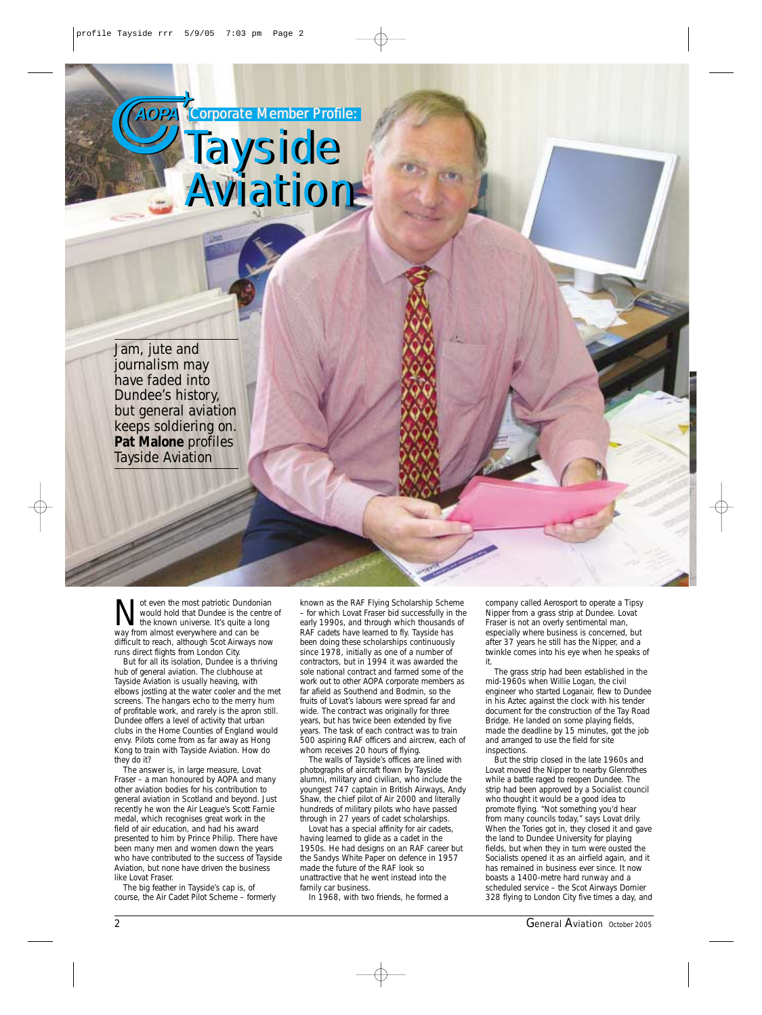**AOPA AOPA** *Corporate Member Profile: Corporate Member Profile:*

*Tayside Tayside*

*Aviation Aviation*



Not even the most patriotic Dundonian<br>wave the known universe. It's quite a long<br>wave from almost everywhere and can be would hold that Dundee is the centre of way from almost everywhere and can be difficult to reach, although Scot Airways now runs direct flights from London City.

But for all its isolation, Dundee is a thriving hub of general aviation. The clubhouse at Tayside Aviation is usually heaving, with elbows jostling at the water cooler and the met screens. The hangars echo to the merry hum of profitable work, and rarely is the apron still. Dundee offers a level of activity that urban clubs in the Home Counties of England would envy. Pilots come from as far away as Hong Kong to train with Tayside Aviation. How do they do it?

The answer is, in large measure, Lovat Fraser – a man honoured by AOPA and many other aviation bodies for his contribution to general aviation in Scotland and beyond. Just recently he won the Air League's Scott Farnie medal, which recognises great work in the field of air education, and had his award presented to him by Prince Philip. There have been many men and women down the years who have contributed to the success of Tayside Aviation, but none have driven the business like Lovat Fraser.

The big feather in Tayside's cap is, of course, the Air Cadet Pilot Scheme – formerly

known as the RAF Flying Scholarship Scheme – for which Lovat Fraser bid successfully in the early 1990s, and through which thousands of RAF cadets have learned to fly. Tayside has been doing these scholarships continuously since 1978, initially as one of a number of contractors, but in 1994 it was awarded the sole national contract and farmed some of the work out to other AOPA corporate members as far afield as Southend and Bodmin, so the fruits of Lovat's labours were spread far and wide. The contract was originally for three years, but has twice been extended by five years. The task of each contract was to train 500 aspiring RAF officers and aircrew, each of whom receives 20 hours of flying.

The walls of Tayside's offices are lined with photographs of aircraft flown by Tayside alumni, military and civilian, who include the youngest 747 captain in British Airways, Andy Shaw, the chief pilot of Air 2000 and literally hundreds of military pilots who have passed through in 27 years of cadet scholarships.

Lovat has a special affinity for air cadets, having learned to glide as a cadet in the 1950s. He had designs on an RAF career but the Sandys White Paper on defence in 1957 made the future of the RAF look so unattractive that he went instead into the family car business.

In 1968, with two friends, he formed a

company called Aerosport to operate a Tipsy Nipper from a grass strip at Dundee. Lovat Fraser is not an overly sentimental man, especially where business is concerned, but after 37 years he still has the Nipper, and a twinkle comes into his eye when he speaks of it.

The grass strip had been established in the mid-1960s when Willie Logan, the civil engineer who started Loganair, flew to Dundee in his Aztec against the clock with his tender document for the construction of the Tay Road Bridge. He landed on some playing fields, made the deadline by 15 minutes, got the job and arranged to use the field for site inspections.

But the strip closed in the late 1960s and Lovat moved the Nipper to nearby Glenrothes while a battle raged to reopen Dundee. The strip had been approved by a Socialist council who thought it would be a good idea to promote flying. "Not something you'd hear from many councils today," says Lovat drily. When the Tories got in, they closed it and gave the land to Dundee University for playing fields, but when they in turn were ousted the Socialists opened it as an airfield again, and it has remained in business ever since. It now boasts a 1400-metre hard runway and a scheduled service – the Scot Airways Dornier 328 flying to London City five times a day, and

2 *General Aviation October 2005*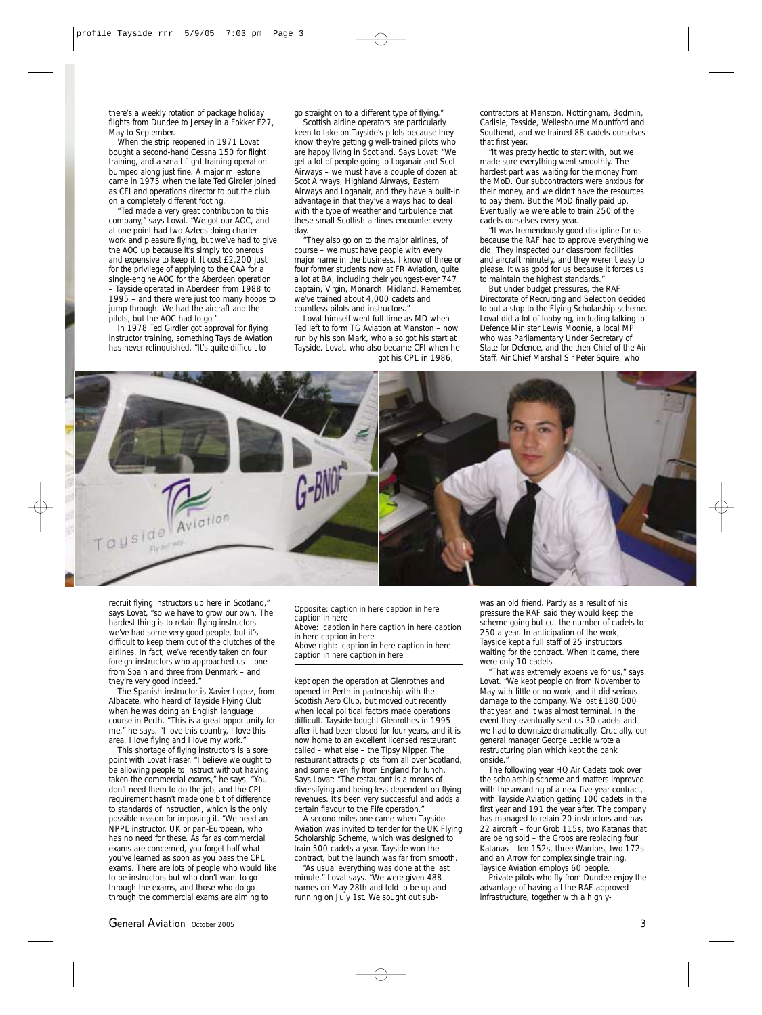there's a weekly rotation of package holiday flights from Dundee to Jersey in a Fokker F27, May to September.

When the strip reopened in 1971 Lovat bought a second-hand Cessna 150 for flight training, and a small flight training operation bumped along just fine. A major milestone came in 1975 when the late Ted Girdler joined as CFI and operations director to put the club on a completely different footing.

"Ted made a very great contribution to this company," says Lovat. "We got our AOC, and at one point had two Aztecs doing charter work and pleasure flying, but we've had to give the AOC up because it's simply too onerous and expensive to keep it. It cost £2,200 just for the privilege of applying to the CAA for a single-engine AOC for the Aberdeen operation – Tayside operated in Aberdeen from 1988 to 1995 – and there were just too many hoops to jump through. We had the aircraft and the pilots, but the AOC had to go."

In 1978 Ted Girdler got approval for flying instructor training, something Tayside Aviation has never relinquished. "It's quite difficult to

go straight on to a different type of flying." Scottish airline operators are particularly keen to take on Tayside's pilots because they know they're getting g well-trained pilots who are happy living in Scotland. Says Lovat: "We get a lot of people going to Loganair and Scot Airways – we must have a couple of dozen at Scot Airways, Highland Airways, Eastern Airways and Loganair, and they have a built-in advantage in that they've always had to deal with the type of weather and turbulence that these small Scottish airlines encounter every day.

"They also go on to the major airlines, of course – we must have people with every major name in the business. I know of three or four former students now at FR Aviation, quite a lot at BA, including their youngest-ever 747 captain, Virgin, Monarch, Midland. Remember, we've trained about 4,000 cadets and countless pilots and instructors."

Lovat himself went full-time as MD when Ted left to form TG Aviation at Manston – now run by his son Mark, who also got his start at Tayside. Lovat, who also became CFI when he got his CPL in 1986,

contractors at Manston, Nottingham, Bodmin, Carlisle, Tesside, Wellesbourne Mountford and Southend, and we trained 88 cadets ourselves that first year.

"It was pretty hectic to start with, but we made sure everything went smoothly. The hardest part was waiting for the money from the MoD. Our subcontractors were anxious for their money, and we didn't have the resources to pay them. But the MoD finally paid up. Eventually we were able to train 250 of the cadets ourselves every year.

"It was tremendously good discipline for us because the RAF had to approve everything we did. They inspected our classroom facilities and aircraft minutely, and they weren't easy to please. It was good for us because it forces us to maintain the highest standards.

But under budget pressures, the RAF Directorate of Recruiting and Selection decided to put a stop to the Flying Scholarship scheme. Lovat did a lot of lobbying, including talking to Defence Minister Lewis Moonie, a local MP who was Parliamentary Under Secretary of State for Defence, and the then Chief of the Air Staff, Air Chief Marshal Sir Peter Squire, who



recruit flying instructors up here in Scotland," says Lovat, "so we have to grow our own. The hardest thing is to retain flying instructors – we've had some very good people, but it's difficult to keep them out of the clutches of the airlines. In fact, we've recently taken on four foreign instructors who approached us – one from Spain and three from Denmark – and they're very good indeed."

The Spanish instructor is Xavier Lopez, from Albacete, who heard of Tayside Flying Club when he was doing an English language course in Perth. "This is a great opportunity for me," he says. "I love this country, I love this area, I love flying and I love my work."

This shortage of flying instructors is a sore point with Lovat Fraser. "I believe we ought to be allowing people to instruct without having taken the commercial exams," he says. "You don't need them to do the job, and the CPL requirement hasn't made one bit of difference to standards of instruction, which is the only possible reason for imposing it. "We need an NPPL instructor, UK or pan-European, who has no need for these. As far as commercial exams are concerned, you forget half what you've learned as soon as you pass the CPL exams. There are lots of people who would like to be instructors but who don't want to go through the exams, and those who do go through the commercial exams are aiming to

*Opposite: caption in here caption in here caption in here Above: caption in here caption in here caption*

*in here caption in here Above right: caption in here caption in here caption in here caption in here*

kept open the operation at Glenrothes and opened in Perth in partnership with the Scottish Aero Club, but moved out recently when local political factors made operations difficult. Tayside bought Glenrothes in 1995 after it had been closed for four years, and it is now home to an excellent licensed restaurant called – what else – the Tipsy Nipper. The restaurant attracts pilots from all over Scotland, and some even fly from England for lunch. Says Lovat: "The restaurant is a means of diversifying and being less dependent on flying revenues. It's been very successful and adds a certain flavour to the Fife operation."

A second milestone came when Tayside Aviation was invited to tender for the UK Flying Scholarship Scheme, which was designed to train 500 cadets a year. Tayside won the contract, but the launch was far from smooth.

"As usual everything was done at the last minute," Lovat says. "We were given 488 names on May 28th and told to be up and running on July 1st. We sought out sub-

was an old friend. Partly as a result of his pressure the RAF said they would keep the scheme going but cut the number of cadets to 250 a year. In anticipation of the work, Tayside kept a full staff of 25 instructors waiting for the contract. When it came, there were only 10 cadets.

"That was extremely expensive for us," says Lovat. "We kept people on from November to May with little or no work, and it did serious damage to the company. We lost £180,000 that year, and it was almost terminal. In the event they eventually sent us 30 cadets and we had to downsize dramatically. Crucially, our general manager George Leckie wrote a restructuring plan which kept the bank onside."

The following year HQ Air Cadets took over the scholarship scheme and matters improved with the awarding of a new five-year contract, with Tayside Aviation getting 100 cadets in the first year and 191 the year after. The company has managed to retain 20 instructors and has 22 aircraft – four Grob 115s, two Katanas that are being sold – the Grobs are replacing four Katanas – ten 152s, three Warriors, two 172s and an Arrow for complex single training. Tayside Aviation employs 60 people.

Private pilots who fly from Dundee enjoy the advantage of having all the RAF-approved infrastructure, together with a highly-